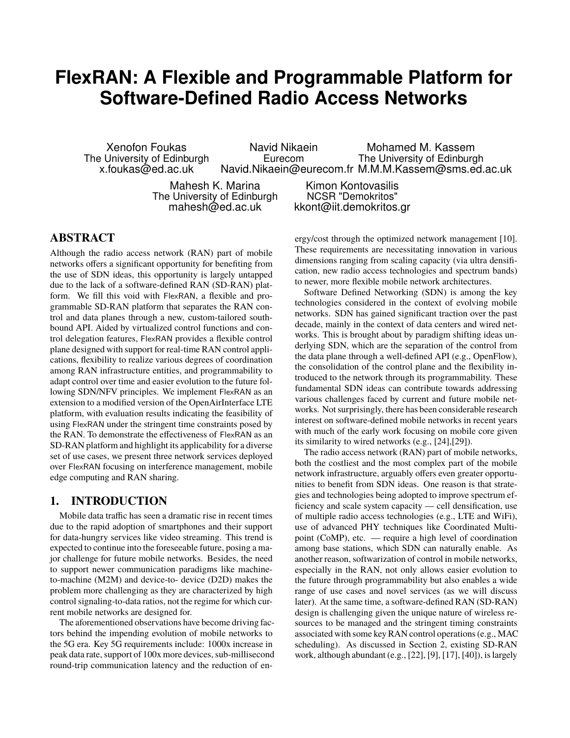# **FlexRAN: A Flexible and Programmable Platform for Software-Defined Radio Access Networks**

Xenofon Foukas The University of Edinburgh x.foukas@ed.ac.uk

Navid Nikaein Eurecom Navid.Nikaein@eurecom.fr M.M.M.Kassem@sms.ed.ac.uk Mohamed M. Kassem The University of Edinburgh

Mahesh K. Marina The University of Edinburgh mahesh@ed.ac.uk

Kimon Kontovasilis NCSR "Demokritos" kkont@iit.demokritos.gr

# ABSTRACT

Although the radio access network (RAN) part of mobile networks offers a significant opportunity for benefiting from the use of SDN ideas, this opportunity is largely untapped due to the lack of a software-defined RAN (SD-RAN) platform. We fill this void with FlexRAN, a flexible and programmable SD-RAN platform that separates the RAN control and data planes through a new, custom-tailored southbound API. Aided by virtualized control functions and control delegation features, FlexRAN provides a flexible control plane designed with support for real-time RAN control applications, flexibility to realize various degrees of coordination among RAN infrastructure entities, and programmability to adapt control over time and easier evolution to the future following SDN/NFV principles. We implement FlexRAN as an extension to a modified version of the OpenAirInterface LTE platform, with evaluation results indicating the feasibility of using FlexRAN under the stringent time constraints posed by the RAN. To demonstrate the effectiveness of FlexRAN as an SD-RAN platform and highlight its applicability for a diverse set of use cases, we present three network services deployed over FlexRAN focusing on interference management, mobile edge computing and RAN sharing.

# 1. INTRODUCTION

Mobile data traffic has seen a dramatic rise in recent times due to the rapid adoption of smartphones and their support for data-hungry services like video streaming. This trend is expected to continue into the foreseeable future, posing a major challenge for future mobile networks. Besides, the need to support newer communication paradigms like machineto-machine (M2M) and device-to- device (D2D) makes the problem more challenging as they are characterized by high control signaling-to-data ratios, not the regime for which current mobile networks are designed for.

The aforementioned observations have become driving factors behind the impending evolution of mobile networks to the 5G era. Key 5G requirements include: 1000x increase in peak data rate, support of 100x more devices, sub-millisecond round-trip communication latency and the reduction of energy/cost through the optimized network management [10]. These requirements are necessitating innovation in various dimensions ranging from scaling capacity (via ultra densification, new radio access technologies and spectrum bands) to newer, more flexible mobile network architectures.

Software Defined Networking (SDN) is among the key technologies considered in the context of evolving mobile networks. SDN has gained significant traction over the past decade, mainly in the context of data centers and wired networks. This is brought about by paradigm shifting ideas underlying SDN, which are the separation of the control from the data plane through a well-defined API (e.g., OpenFlow), the consolidation of the control plane and the flexibility introduced to the network through its programmability. These fundamental SDN ideas can contribute towards addressing various challenges faced by current and future mobile networks. Not surprisingly, there has been considerable research interest on software-defined mobile networks in recent years with much of the early work focusing on mobile core given its similarity to wired networks (e.g., [24],[29]).

The radio access network (RAN) part of mobile networks, both the costliest and the most complex part of the mobile network infrastructure, arguably offers even greater opportunities to benefit from SDN ideas. One reason is that strategies and technologies being adopted to improve spectrum efficiency and scale system capacity — cell densification, use of multiple radio access technologies (e.g., LTE and WiFi), use of advanced PHY techniques like Coordinated Multipoint (CoMP), etc. — require a high level of coordination among base stations, which SDN can naturally enable. As another reason, softwarization of control in mobile networks, especially in the RAN, not only allows easier evolution to the future through programmability but also enables a wide range of use cases and novel services (as we will discuss later). At the same time, a software-defined RAN (SD-RAN) design is challenging given the unique nature of wireless resources to be managed and the stringent timing constraints associated with some key RAN control operations (e.g., MAC scheduling). As discussed in Section 2, existing SD-RAN work, although abundant (e.g., [22], [9], [17], [40]), is largely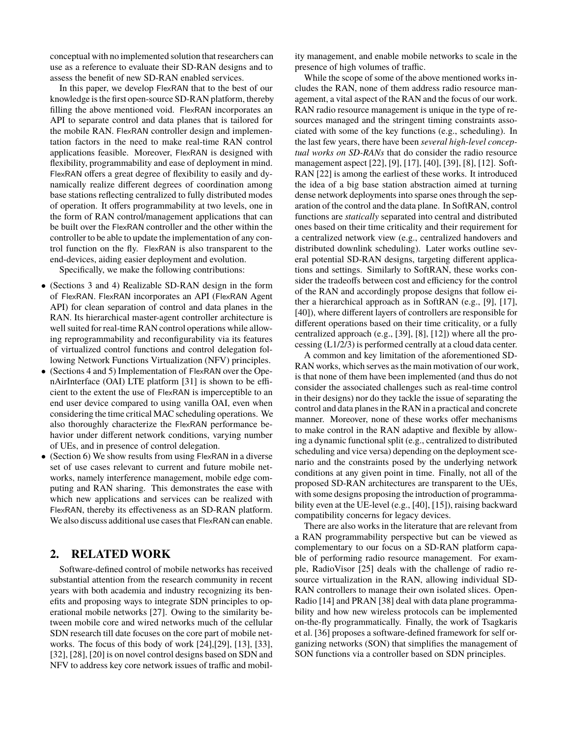conceptual with no implemented solution that researchers can use as a reference to evaluate their SD-RAN designs and to assess the benefit of new SD-RAN enabled services.

In this paper, we develop FlexRAN that to the best of our knowledge is the first open-source SD-RAN platform, thereby filling the above mentioned void. FlexRAN incorporates an API to separate control and data planes that is tailored for the mobile RAN. FlexRAN controller design and implementation factors in the need to make real-time RAN control applications feasible. Moreover, FlexRAN is designed with flexibility, programmability and ease of deployment in mind. FlexRAN offers a great degree of flexibility to easily and dynamically realize different degrees of coordination among base stations reflecting centralized to fully distributed modes of operation. It offers programmability at two levels, one in the form of RAN control/management applications that can be built over the FlexRAN controller and the other within the controller to be able to update the implementation of any control function on the fly. FlexRAN is also transparent to the end-devices, aiding easier deployment and evolution.

Specifically, we make the following contributions:

- (Sections 3 and 4) Realizable SD-RAN design in the form of FlexRAN. FlexRAN incorporates an API (FlexRAN Agent API) for clean separation of control and data planes in the RAN. Its hierarchical master-agent controller architecture is well suited for real-time RAN control operations while allowing reprogrammability and reconfigurability via its features of virtualized control functions and control delegation following Network Functions Virtualization (NFV) principles.
- (Sections 4 and 5) Implementation of FlexRAN over the OpenAirInterface (OAI) LTE platform [31] is shown to be efficient to the extent the use of FlexRAN is imperceptible to an end user device compared to using vanilla OAI, even when considering the time critical MAC scheduling operations. We also thoroughly characterize the FlexRAN performance behavior under different network conditions, varying number of UEs, and in presence of control delegation.
- (Section 6) We show results from using FlexRAN in a diverse set of use cases relevant to current and future mobile networks, namely interference management, mobile edge computing and RAN sharing. This demonstrates the ease with which new applications and services can be realized with FlexRAN, thereby its effectiveness as an SD-RAN platform. We also discuss additional use cases that FlexRAN can enable.

# 2. RELATED WORK

Software-defined control of mobile networks has received substantial attention from the research community in recent years with both academia and industry recognizing its benefits and proposing ways to integrate SDN principles to operational mobile networks [27]. Owing to the similarity between mobile core and wired networks much of the cellular SDN research till date focuses on the core part of mobile networks. The focus of this body of work [24],[29], [13], [33], [32], [28], [20] is on novel control designs based on SDN and NFV to address key core network issues of traffic and mobility management, and enable mobile networks to scale in the presence of high volumes of traffic.

While the scope of some of the above mentioned works includes the RAN, none of them address radio resource management, a vital aspect of the RAN and the focus of our work. RAN radio resource management is unique in the type of resources managed and the stringent timing constraints associated with some of the key functions (e.g., scheduling). In the last few years, there have been *several high-level conceptual works on SD-RANs* that do consider the radio resource management aspect [22], [9], [17], [40], [39], [8], [12]. Soft-RAN [22] is among the earliest of these works. It introduced the idea of a big base station abstraction aimed at turning dense network deployments into sparse ones through the separation of the control and the data plane. In SoftRAN, control functions are *statically* separated into central and distributed ones based on their time criticality and their requirement for a centralized network view (e.g., centralized handovers and distributed downlink scheduling). Later works outline several potential SD-RAN designs, targeting different applications and settings. Similarly to SoftRAN, these works consider the tradeoffs between cost and efficiency for the control of the RAN and accordingly propose designs that follow either a hierarchical approach as in SoftRAN (e.g., [9], [17], [40]), where different layers of controllers are responsible for different operations based on their time criticality, or a fully centralized approach (e.g., [39], [8], [12]) where all the processing (L1/2/3) is performed centrally at a cloud data center.

A common and key limitation of the aforementioned SD-RAN works, which serves as the main motivation of our work, is that none of them have been implemented (and thus do not consider the associated challenges such as real-time control in their designs) nor do they tackle the issue of separating the control and data planes in the RAN in a practical and concrete manner. Moreover, none of these works offer mechanisms to make control in the RAN adaptive and flexible by allowing a dynamic functional split (e.g., centralized to distributed scheduling and vice versa) depending on the deployment scenario and the constraints posed by the underlying network conditions at any given point in time. Finally, not all of the proposed SD-RAN architectures are transparent to the UEs, with some designs proposing the introduction of programmability even at the UE-level (e.g., [40], [15]), raising backward compatibility concerns for legacy devices.

There are also works in the literature that are relevant from a RAN programmability perspective but can be viewed as complementary to our focus on a SD-RAN platform capable of performing radio resource management. For example, RadioVisor [25] deals with the challenge of radio resource virtualization in the RAN, allowing individual SD-RAN controllers to manage their own isolated slices. Open-Radio [14] and PRAN [38] deal with data plane programmability and how new wireless protocols can be implemented on-the-fly programmatically. Finally, the work of Tsagkaris et al. [36] proposes a software-defined framework for self organizing networks (SON) that simplifies the management of SON functions via a controller based on SDN principles.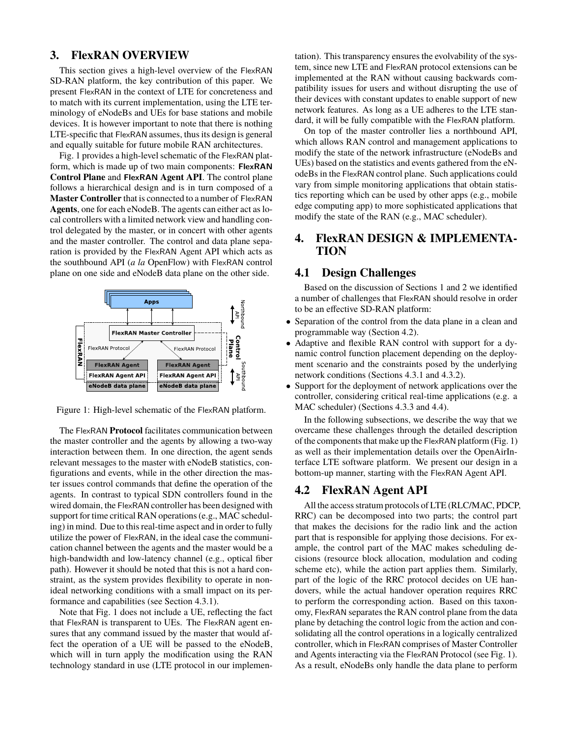## 3. FlexRAN OVERVIEW

This section gives a high-level overview of the FlexRAN SD-RAN platform, the key contribution of this paper. We present FlexRAN in the context of LTE for concreteness and to match with its current implementation, using the LTE terminology of eNodeBs and UEs for base stations and mobile devices. It is however important to note that there is nothing LTE-specific that FlexRAN assumes, thus its design is general and equally suitable for future mobile RAN architectures.

Fig. 1 provides a high-level schematic of the FlexRAN platform, which is made up of two main components: FlexRAN **Control Plane** and FlexRAN **Agent API**. The control plane follows a hierarchical design and is in turn composed of a **Master Controller** that is connected to a number of FlexRAN **Agents**, one for each eNodeB. The agents can either act as local controllers with a limited network view and handling control delegated by the master, or in concert with other agents and the master controller. The control and data plane separation is provided by the FlexRAN Agent API which acts as the southbound API (*a la* OpenFlow) with FlexRAN control plane on one side and eNodeB data plane on the other side.



Figure 1: High-level schematic of the FlexRAN platform.

The FlexRAN **Protocol** facilitates communication between the master controller and the agents by allowing a two-way interaction between them. In one direction, the agent sends relevant messages to the master with eNodeB statistics, configurations and events, while in the other direction the master issues control commands that define the operation of the agents. In contrast to typical SDN controllers found in the wired domain, the FlexRAN controller has been designed with support for time critical RAN operations (e.g., MAC scheduling) in mind. Due to this real-time aspect and in order to fully utilize the power of FlexRAN, in the ideal case the communication channel between the agents and the master would be a high-bandwidth and low-latency channel (e.g., optical fiber path). However it should be noted that this is not a hard constraint, as the system provides flexibility to operate in nonideal networking conditions with a small impact on its performance and capabilities (see Section 4.3.1).

Note that Fig. 1 does not include a UE, reflecting the fact that FlexRAN is transparent to UEs. The FlexRAN agent ensures that any command issued by the master that would affect the operation of a UE will be passed to the eNodeB, which will in turn apply the modification using the RAN technology standard in use (LTE protocol in our implementation). This transparency ensures the evolvability of the system, since new LTE and FlexRAN protocol extensions can be implemented at the RAN without causing backwards compatibility issues for users and without disrupting the use of their devices with constant updates to enable support of new network features. As long as a UE adheres to the LTE standard, it will be fully compatible with the FlexRAN platform.

On top of the master controller lies a northbound API, which allows RAN control and management applications to modify the state of the network infrastructure (eNodeBs and UEs) based on the statistics and events gathered from the eNodeBs in the FlexRAN control plane. Such applications could vary from simple monitoring applications that obtain statistics reporting which can be used by other apps (e.g., mobile edge computing app) to more sophisticated applications that modify the state of the RAN (e.g., MAC scheduler).

# 4. FlexRAN DESIGN & IMPLEMENTA-TION

## 4.1 Design Challenges

Based on the discussion of Sections 1 and 2 we identified a number of challenges that FlexRAN should resolve in order to be an effective SD-RAN platform:

- Separation of the control from the data plane in a clean and programmable way (Section 4.2).
- Adaptive and flexible RAN control with support for a dynamic control function placement depending on the deployment scenario and the constraints posed by the underlying network conditions (Sections 4.3.1 and 4.3.2).
- Support for the deployment of network applications over the controller, considering critical real-time applications (e.g. a MAC scheduler) (Sections 4.3.3 and 4.4).

In the following subsections, we describe the way that we overcame these challenges through the detailed description of the components that make up the FlexRAN platform (Fig. 1) as well as their implementation details over the OpenAirInterface LTE software platform. We present our design in a bottom-up manner, starting with the FlexRAN Agent API.

#### 4.2 FlexRAN Agent API

All the access stratum protocols of LTE (RLC/MAC, PDCP, RRC) can be decomposed into two parts; the control part that makes the decisions for the radio link and the action part that is responsible for applying those decisions. For example, the control part of the MAC makes scheduling decisions (resource block allocation, modulation and coding scheme etc), while the action part applies them. Similarly, part of the logic of the RRC protocol decides on UE handovers, while the actual handover operation requires RRC to perform the corresponding action. Based on this taxonomy, FlexRAN separates the RAN control plane from the data plane by detaching the control logic from the action and consolidating all the control operations in a logically centralized controller, which in FlexRAN comprises of Master Controller and Agents interacting via the FlexRAN Protocol (see Fig. 1). As a result, eNodeBs only handle the data plane to perform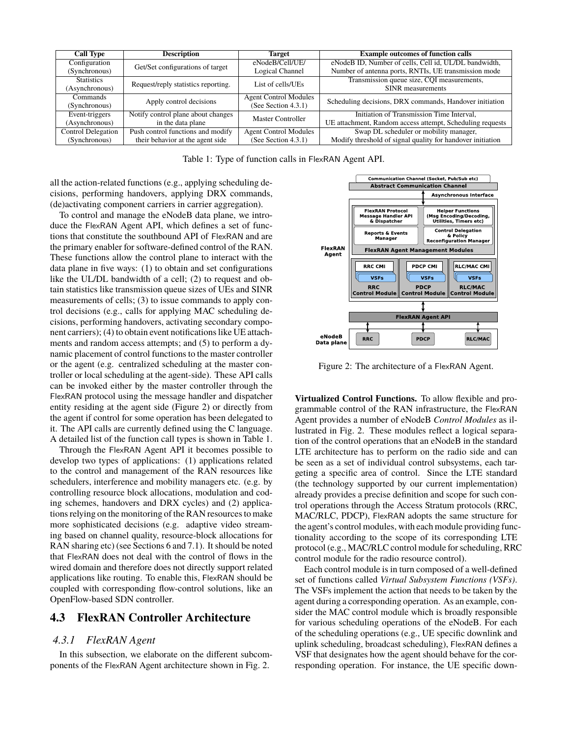| <b>Call Type</b>          | <b>Description</b>                  | <b>Target</b>                | <b>Example outcomes of function calls</b>                  |
|---------------------------|-------------------------------------|------------------------------|------------------------------------------------------------|
| Configuration             | Get/Set configurations of target    | eNodeB/Cell/UE/              | eNodeB ID, Number of cells, Cell id, UL/DL bandwidth,      |
| (Synchronous)             |                                     | Logical Channel              | Number of antenna ports, RNTIs, UE transmission mode       |
| <b>Statistics</b>         | Request/reply statistics reporting. | List of cells/UEs            | Transmission queue size, CQI measurements,                 |
| (Asynchronous)            |                                     |                              | <b>SINR</b> measurements                                   |
| Commands                  | Apply control decisions             | <b>Agent Control Modules</b> | Scheduling decisions, DRX commands, Handover initiation    |
| (Synchronous)             |                                     | (See Section $4.3.1$ )       |                                                            |
| Event-triggers            | Notify control plane about changes  | Master Controller            | Initiation of Transmission Time Interval,                  |
| (Asynchronous)            | in the data plane                   |                              | UE attachment, Random access attempt, Scheduling requests  |
| <b>Control Delegation</b> | Push control functions and modify   | <b>Agent Control Modules</b> | Swap DL scheduler or mobility manager,                     |
| (Synchronous)             | their behavior at the agent side    | (See Section $4.3.1$ )       | Modify threshold of signal quality for handover initiation |

Table 1: Type of function calls in FlexRAN Agent API.

all the action-related functions (e.g., applying scheduling decisions, performing handovers, applying DRX commands, (de)activating component carriers in carrier aggregation).

To control and manage the eNodeB data plane, we introduce the FlexRAN Agent API, which defines a set of functions that constitute the southbound API of FlexRAN and are the primary enabler for software-defined control of the RAN. These functions allow the control plane to interact with the data plane in five ways: (1) to obtain and set configurations like the UL/DL bandwidth of a cell; (2) to request and obtain statistics like transmission queue sizes of UEs and SINR measurements of cells; (3) to issue commands to apply control decisions (e.g., calls for applying MAC scheduling decisions, performing handovers, activating secondary component carriers); (4) to obtain event notifications like UE attachments and random access attempts; and (5) to perform a dynamic placement of control functions to the master controller or the agent (e.g. centralized scheduling at the master controller or local scheduling at the agent-side). These API calls can be invoked either by the master controller through the FlexRAN protocol using the message handler and dispatcher entity residing at the agent side (Figure 2) or directly from the agent if control for some operation has been delegated to it. The API calls are currently defined using the C language. A detailed list of the function call types is shown in Table 1.

Through the FlexRAN Agent API it becomes possible to develop two types of applications: (1) applications related to the control and management of the RAN resources like schedulers, interference and mobility managers etc. (e.g. by controlling resource block allocations, modulation and coding schemes, handovers and DRX cycles) and (2) applications relying on the monitoring of the RAN resources to make more sophisticated decisions (e.g. adaptive video streaming based on channel quality, resource-block allocations for RAN sharing etc) (see Sections 6 and 7.1). It should be noted that FlexRAN does not deal with the control of flows in the wired domain and therefore does not directly support related applications like routing. To enable this, FlexRAN should be coupled with corresponding flow-control solutions, like an OpenFlow-based SDN controller.

## 4.3 FlexRAN Controller Architecture

## *4.3.1 FlexRAN Agent*

In this subsection, we elaborate on the different subcomponents of the FlexRAN Agent architecture shown in Fig. 2.



Figure 2: The architecture of a FlexRAN Agent.

**Virtualized Control Functions.** To allow flexible and programmable control of the RAN infrastructure, the FlexRAN Agent provides a number of eNodeB *Control Modules* as illustrated in Fig. 2. These modules reflect a logical separation of the control operations that an eNodeB in the standard LTE architecture has to perform on the radio side and can be seen as a set of individual control subsystems, each targeting a specific area of control. Since the LTE standard (the technology supported by our current implementation) already provides a precise definition and scope for such control operations through the Access Stratum protocols (RRC, MAC/RLC, PDCP), FlexRAN adopts the same structure for the agent's control modules, with each module providing functionality according to the scope of its corresponding LTE protocol (e.g., MAC/RLC control module for scheduling, RRC control module for the radio resource control).

Each control module is in turn composed of a well-defined set of functions called *Virtual Subsystem Functions (VSFs)*. The VSFs implement the action that needs to be taken by the agent during a corresponding operation. As an example, consider the MAC control module which is broadly responsible for various scheduling operations of the eNodeB. For each of the scheduling operations (e.g., UE specific downlink and uplink scheduling, broadcast scheduling), FlexRAN defines a VSF that designates how the agent should behave for the corresponding operation. For instance, the UE specific down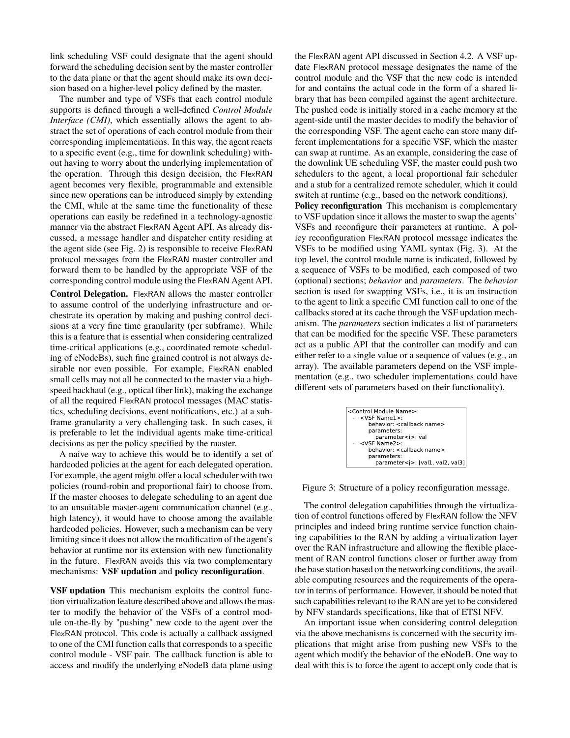link scheduling VSF could designate that the agent should forward the scheduling decision sent by the master controller to the data plane or that the agent should make its own decision based on a higher-level policy defined by the master.

The number and type of VSFs that each control module supports is defined through a well-defined *Control Module Interface (CMI)*, which essentially allows the agent to abstract the set of operations of each control module from their corresponding implementations. In this way, the agent reacts to a specific event (e.g., time for downlink scheduling) without having to worry about the underlying implementation of the operation. Through this design decision, the FlexRAN agent becomes very flexible, programmable and extensible since new operations can be introduced simply by extending the CMI, while at the same time the functionality of these operations can easily be redefined in a technology-agnostic manner via the abstract FlexRAN Agent API. As already discussed, a message handler and dispatcher entity residing at the agent side (see Fig. 2) is responsible to receive FlexRAN protocol messages from the FlexRAN master controller and forward them to be handled by the appropriate VSF of the corresponding control module using the FlexRAN Agent API.

**Control Delegation.** FlexRAN allows the master controller to assume control of the underlying infrastructure and orchestrate its operation by making and pushing control decisions at a very fine time granularity (per subframe). While this is a feature that is essential when considering centralized time-critical applications (e.g., coordinated remote scheduling of eNodeBs), such fine grained control is not always desirable nor even possible. For example, FlexRAN enabled small cells may not all be connected to the master via a highspeed backhaul (e.g., optical fiber link), making the exchange of all the required FlexRAN protocol messages (MAC statistics, scheduling decisions, event notifications, etc.) at a subframe granularity a very challenging task. In such cases, it is preferable to let the individual agents make time-critical decisions as per the policy specified by the master.

A naive way to achieve this would be to identify a set of hardcoded policies at the agent for each delegated operation. For example, the agent might offer a local scheduler with two policies (round-robin and proportional fair) to choose from. If the master chooses to delegate scheduling to an agent due to an unsuitable master-agent communication channel (e.g., high latency), it would have to choose among the available hardcoded policies. However, such a mechanism can be very limiting since it does not allow the modification of the agent's behavior at runtime nor its extension with new functionality in the future. FlexRAN avoids this via two complementary mechanisms: **VSF updation** and **policy reconfiguration**.

**VSF updation** This mechanism exploits the control function virtualization feature described above and allows the master to modify the behavior of the VSFs of a control module on-the-fly by "pushing" new code to the agent over the FlexRAN protocol. This code is actually a callback assigned to one of the CMI function calls that corresponds to a specific control module - VSF pair. The callback function is able to access and modify the underlying eNodeB data plane using

the FlexRAN agent API discussed in Section 4.2. A VSF update FlexRAN protocol message designates the name of the control module and the VSF that the new code is intended for and contains the actual code in the form of a shared library that has been compiled against the agent architecture. The pushed code is initially stored in a cache memory at the agent-side until the master decides to modify the behavior of the corresponding VSF. The agent cache can store many different implementations for a specific VSF, which the master can swap at runtime. As an example, considering the case of the downlink UE scheduling VSF, the master could push two schedulers to the agent, a local proportional fair scheduler and a stub for a centralized remote scheduler, which it could switch at runtime (e.g., based on the network conditions).

**Policy reconfiguration** This mechanism is complementary to VSF updation since it allows the master to swap the agents' VSFs and reconfigure their parameters at runtime. A policy reconfiguration FlexRAN protocol message indicates the VSFs to be modified using YAML syntax (Fig. 3). At the top level, the control module name is indicated, followed by a sequence of VSFs to be modified, each composed of two (optional) sections; *behavior* and *parameters*. The *behavior* section is used for swapping VSFs, i.e., it is an instruction to the agent to link a specific CMI function call to one of the callbacks stored at its cache through the VSF updation mechanism. The *parameters* section indicates a list of parameters that can be modified for the specific VSF. These parameters act as a public API that the controller can modify and can either refer to a single value or a sequence of values (e.g., an array). The available parameters depend on the VSF implementation (e.g., two scheduler implementations could have different sets of parameters based on their functionality).



Figure 3: Structure of a policy reconfiguration message.

The control delegation capabilities through the virtualization of control functions offered by FlexRAN follow the NFV principles and indeed bring runtime service function chaining capabilities to the RAN by adding a virtualization layer over the RAN infrastructure and allowing the flexible placement of RAN control functions closer or further away from the base station based on the networking conditions, the available computing resources and the requirements of the operator in terms of performance. However, it should be noted that such capabilities relevant to the RAN are yet to be considered by NFV standards specifications, like that of ETSI NFV.

An important issue when considering control delegation via the above mechanisms is concerned with the security implications that might arise from pushing new VSFs to the agent which modify the behavior of the eNodeB. One way to deal with this is to force the agent to accept only code that is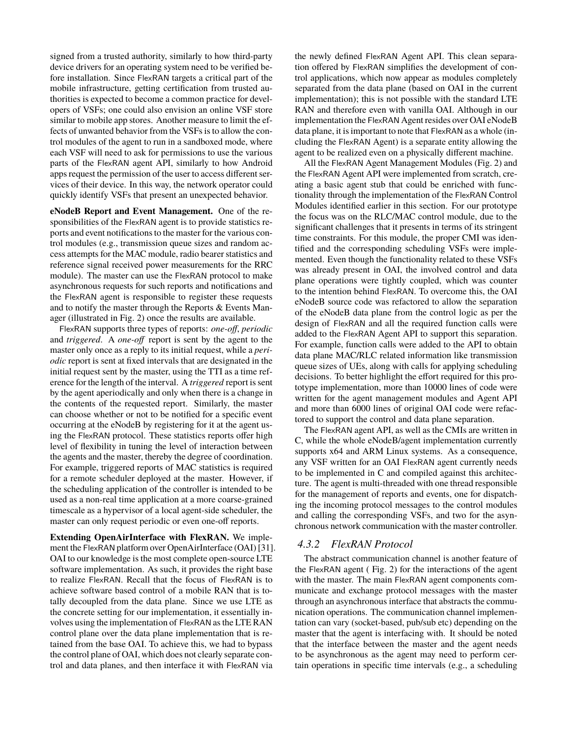signed from a trusted authority, similarly to how third-party device drivers for an operating system need to be verified before installation. Since FlexRAN targets a critical part of the mobile infrastructure, getting certification from trusted authorities is expected to become a common practice for developers of VSFs; one could also envision an online VSF store similar to mobile app stores. Another measure to limit the effects of unwanted behavior from the VSFs is to allow the control modules of the agent to run in a sandboxed mode, where each VSF will need to ask for permissions to use the various parts of the FlexRAN agent API, similarly to how Android apps request the permission of the user to access different services of their device. In this way, the network operator could quickly identify VSFs that present an unexpected behavior.

**eNodeB Report and Event Management.** One of the responsibilities of the FlexRAN agent is to provide statistics reports and event notifications to the master for the various control modules (e.g., transmission queue sizes and random access attempts for the MAC module, radio bearer statistics and reference signal received power measurements for the RRC module). The master can use the FlexRAN protocol to make asynchronous requests for such reports and notifications and the FlexRAN agent is responsible to register these requests and to notify the master through the Reports & Events Manager (illustrated in Fig. 2) once the results are available.

FlexRAN supports three types of reports: *one-off*, *periodic* and *triggered*. A *one-off* report is sent by the agent to the master only once as a reply to its initial request, while a *periodic* report is sent at fixed intervals that are designated in the initial request sent by the master, using the TTI as a time reference for the length of the interval. A *triggered* report is sent by the agent aperiodically and only when there is a change in the contents of the requested report. Similarly, the master can choose whether or not to be notified for a specific event occurring at the eNodeB by registering for it at the agent using the FlexRAN protocol. These statistics reports offer high level of flexibility in tuning the level of interaction between the agents and the master, thereby the degree of coordination. For example, triggered reports of MAC statistics is required for a remote scheduler deployed at the master. However, if the scheduling application of the controller is intended to be used as a non-real time application at a more coarse-grained timescale as a hypervisor of a local agent-side scheduler, the master can only request periodic or even one-off reports.

**Extending OpenAirInterface with FlexRAN.** We implement the FlexRAN platform over OpenAirInterface (OAI) [31]. OAI to our knowledge is the most complete open-source LTE software implementation. As such, it provides the right base to realize FlexRAN. Recall that the focus of FlexRAN is to achieve software based control of a mobile RAN that is totally decoupled from the data plane. Since we use LTE as the concrete setting for our implementation, it essentially involves using the implementation of FlexRAN as the LTE RAN control plane over the data plane implementation that is retained from the base OAI. To achieve this, we had to bypass the control plane of OAI, which does not clearly separate control and data planes, and then interface it with FlexRAN via

the newly defined FlexRAN Agent API. This clean separation offered by FlexRAN simplifies the development of control applications, which now appear as modules completely separated from the data plane (based on OAI in the current implementation); this is not possible with the standard LTE RAN and therefore even with vanilla OAI. Although in our implementation the FlexRAN Agent resides over OAI eNodeB data plane, it is important to note that FlexRAN as a whole (including the FlexRAN Agent) is a separate entity allowing the agent to be realized even on a physically different machine.

All the FlexRAN Agent Management Modules (Fig. 2) and the FlexRAN Agent API were implemented from scratch, creating a basic agent stub that could be enriched with functionality through the implementation of the FlexRAN Control Modules identified earlier in this section. For our prototype the focus was on the RLC/MAC control module, due to the significant challenges that it presents in terms of its stringent time constraints. For this module, the proper CMI was identified and the corresponding scheduling VSFs were implemented. Even though the functionality related to these VSFs was already present in OAI, the involved control and data plane operations were tightly coupled, which was counter to the intention behind FlexRAN. To overcome this, the OAI eNodeB source code was refactored to allow the separation of the eNodeB data plane from the control logic as per the design of FlexRAN and all the required function calls were added to the FlexRAN Agent API to support this separation. For example, function calls were added to the API to obtain data plane MAC/RLC related information like transmission queue sizes of UEs, along with calls for applying scheduling decisions. To better highlight the effort required for this prototype implementation, more than 10000 lines of code were written for the agent management modules and Agent API and more than 6000 lines of original OAI code were refactored to support the control and data plane separation.

The FlexRAN agent API, as well as the CMIs are written in C, while the whole eNodeB/agent implementation currently supports x64 and ARM Linux systems. As a consequence, any VSF written for an OAI FlexRAN agent currently needs to be implemented in C and compiled against this architecture. The agent is multi-threaded with one thread responsible for the management of reports and events, one for dispatching the incoming protocol messages to the control modules and calling the corresponding VSFs, and two for the asynchronous network communication with the master controller.

#### *4.3.2 FlexRAN Protocol*

The abstract communication channel is another feature of the FlexRAN agent ( Fig. 2) for the interactions of the agent with the master. The main FlexRAN agent components communicate and exchange protocol messages with the master through an asynchronous interface that abstracts the communication operations. The communication channel implementation can vary (socket-based, pub/sub etc) depending on the master that the agent is interfacing with. It should be noted that the interface between the master and the agent needs to be asynchronous as the agent may need to perform certain operations in specific time intervals (e.g., a scheduling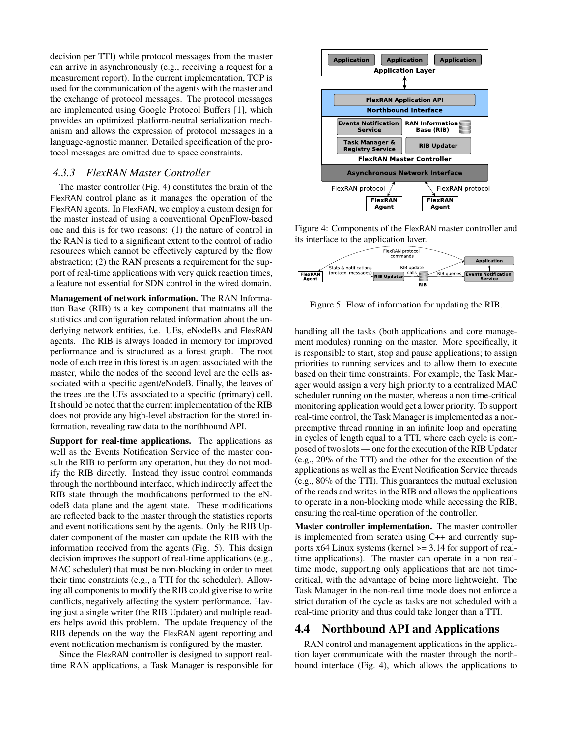decision per TTI) while protocol messages from the master can arrive in asynchronously (e.g., receiving a request for a measurement report). In the current implementation, TCP is used for the communication of the agents with the master and the exchange of protocol messages. The protocol messages are implemented using Google Protocol Buffers [1], which provides an optimized platform-neutral serialization mechanism and allows the expression of protocol messages in a language-agnostic manner. Detailed specification of the protocol messages are omitted due to space constraints.

#### *4.3.3 FlexRAN Master Controller*

The master controller (Fig. 4) constitutes the brain of the FlexRAN control plane as it manages the operation of the FlexRAN agents. In FlexRAN, we employ a custom design for the master instead of using a conventional OpenFlow-based one and this is for two reasons: (1) the nature of control in the RAN is tied to a significant extent to the control of radio resources which cannot be effectively captured by the flow abstraction; (2) the RAN presents a requirement for the support of real-time applications with very quick reaction times, a feature not essential for SDN control in the wired domain.

**Management of network information.** The RAN Information Base (RIB) is a key component that maintains all the statistics and configuration related information about the underlying network entities, i.e. UEs, eNodeBs and FlexRAN agents. The RIB is always loaded in memory for improved performance and is structured as a forest graph. The root node of each tree in this forest is an agent associated with the master, while the nodes of the second level are the cells associated with a specific agent/eNodeB. Finally, the leaves of the trees are the UEs associated to a specific (primary) cell. It should be noted that the current implementation of the RIB does not provide any high-level abstraction for the stored information, revealing raw data to the northbound API.

**Support for real-time applications.** The applications as well as the Events Notification Service of the master consult the RIB to perform any operation, but they do not modify the RIB directly. Instead they issue control commands through the northbound interface, which indirectly affect the RIB state through the modifications performed to the eNodeB data plane and the agent state. These modifications are reflected back to the master through the statistics reports and event notifications sent by the agents. Only the RIB Updater component of the master can update the RIB with the information received from the agents (Fig. 5). This design decision improves the support of real-time applications (e.g., MAC scheduler) that must be non-blocking in order to meet their time constraints (e.g., a TTI for the scheduler). Allowing all components to modify the RIB could give rise to write conflicts, negatively affecting the system performance. Having just a single writer (the RIB Updater) and multiple readers helps avoid this problem. The update frequency of the RIB depends on the way the FlexRAN agent reporting and event notification mechanism is configured by the master.

Since the FlexRAN controller is designed to support realtime RAN applications, a Task Manager is responsible for



Figure 4: Components of the FlexRAN master controller and its interface to the application layer.



Figure 5: Flow of information for updating the RIB.

handling all the tasks (both applications and core management modules) running on the master. More specifically, it is responsible to start, stop and pause applications; to assign priorities to running services and to allow them to execute based on their time constraints. For example, the Task Manager would assign a very high priority to a centralized MAC scheduler running on the master, whereas a non time-critical monitoring application would get a lower priority. To support real-time control, the Task Manager is implemented as a nonpreemptive thread running in an infinite loop and operating in cycles of length equal to a TTI, where each cycle is composed of two slots — one for the execution of the RIB Updater (e.g., 20% of the TTI) and the other for the execution of the applications as well as the Event Notification Service threads (e.g., 80% of the TTI). This guarantees the mutual exclusion of the reads and writes in the RIB and allows the applications to operate in a non-blocking mode while accessing the RIB, ensuring the real-time operation of the controller.

**Master controller implementation.** The master controller is implemented from scratch using C++ and currently supports x64 Linux systems (kernel >= 3.14 for support of realtime applications). The master can operate in a non realtime mode, supporting only applications that are not timecritical, with the advantage of being more lightweight. The Task Manager in the non-real time mode does not enforce a strict duration of the cycle as tasks are not scheduled with a real-time priority and thus could take longer than a TTI.

## 4.4 Northbound API and Applications

RAN control and management applications in the application layer communicate with the master through the northbound interface (Fig. 4), which allows the applications to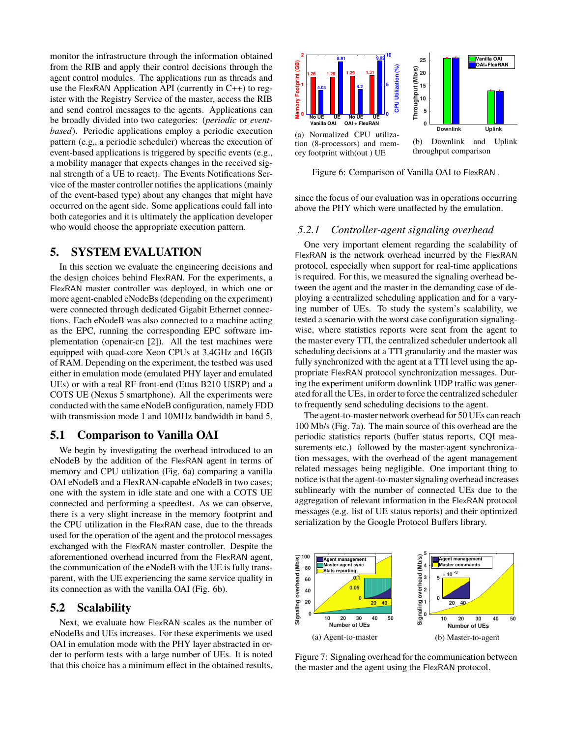monitor the infrastructure through the information obtained from the RIB and apply their control decisions through the agent control modules. The applications run as threads and use the FlexRAN Application API (currently in C++) to register with the Registry Service of the master, access the RIB and send control messages to the agents. Applications can be broadly divided into two categories: (*periodic* or *eventbased*). Periodic applications employ a periodic execution pattern (e.g., a periodic scheduler) whereas the execution of event-based applications is triggered by specific events (e.g., a mobility manager that expects changes in the received signal strength of a UE to react). The Events Notifications Service of the master controller notifies the applications (mainly of the event-based type) about any changes that might have occurred on the agent side. Some applications could fall into both categories and it is ultimately the application developer who would choose the appropriate execution pattern.

## 5. SYSTEM EVALUATION

In this section we evaluate the engineering decisions and the design choices behind FlexRAN. For the experiments, a FlexRAN master controller was deployed, in which one or more agent-enabled eNodeBs (depending on the experiment) were connected through dedicated Gigabit Ethernet connections. Each eNodeB was also connected to a machine acting as the EPC, running the corresponding EPC software implementation (openair-cn [2]). All the test machines were equipped with quad-core Xeon CPUs at 3.4GHz and 16GB of RAM. Depending on the experiment, the testbed was used either in emulation mode (emulated PHY layer and emulated UEs) or with a real RF front-end (Ettus B210 USRP) and a COTS UE (Nexus 5 smartphone). All the experiments were conducted with the same eNodeB configuration, namely FDD with transmission mode 1 and 10MHz bandwidth in band 5.

#### 5.1 Comparison to Vanilla OAI

We begin by investigating the overhead introduced to an eNodeB by the addition of the FlexRAN agent in terms of memory and CPU utilization (Fig. 6a) comparing a vanilla OAI eNodeB and a FlexRAN-capable eNodeB in two cases; one with the system in idle state and one with a COTS UE connected and performing a speedtest. As we can observe, there is a very slight increase in the memory footprint and the CPU utilization in the FlexRAN case, due to the threads used for the operation of the agent and the protocol messages exchanged with the FlexRAN master controller. Despite the aforementioned overhead incurred from the FlexRAN agent, the communication of the eNodeB with the UE is fully transparent, with the UE experiencing the same service quality in its connection as with the vanilla OAI (Fig. 6b).

#### 5.2 Scalability

Next, we evaluate how FlexRAN scales as the number of eNodeBs and UEs increases. For these experiments we used OAI in emulation mode with the PHY layer abstracted in order to perform tests with a large number of UEs. It is noted that this choice has a minimum effect in the obtained results,



Figure 6: Comparison of Vanilla OAI to FlexRAN .

since the focus of our evaluation was in operations occurring above the PHY which were unaffected by the emulation.

#### *5.2.1 Controller-agent signaling overhead*

One very important element regarding the scalability of FlexRAN is the network overhead incurred by the FlexRAN protocol, especially when support for real-time applications is required. For this, we measured the signaling overhead between the agent and the master in the demanding case of deploying a centralized scheduling application and for a varying number of UEs. To study the system's scalability, we tested a scenario with the worst case configuration signalingwise, where statistics reports were sent from the agent to the master every TTI, the centralized scheduler undertook all scheduling decisions at a TTI granularity and the master was fully synchronized with the agent at a TTI level using the appropriate FlexRAN protocol synchronization messages. During the experiment uniform downlink UDP traffic was generated for all the UEs, in order to force the centralized scheduler to frequently send scheduling decisions to the agent.

The agent-to-master network overhead for 50 UEs can reach 100 Mb/s (Fig. 7a). The main source of this overhead are the periodic statistics reports (buffer status reports, CQI measurements etc.) followed by the master-agent synchronization messages, with the overhead of the agent management related messages being negligible. One important thing to notice is that the agent-to-master signaling overhead increases sublinearly with the number of connected UEs due to the aggregation of relevant information in the FlexRAN protocol messages (e.g. list of UE status reports) and their optimized serialization by the Google Protocol Buffers library.



Figure 7: Signaling overhead for the communication between the master and the agent using the FlexRAN protocol.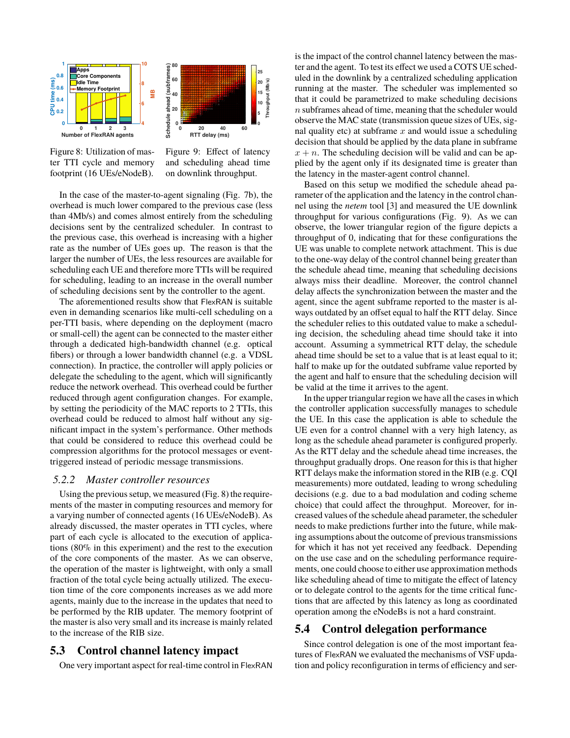

Figure 8: Utilization of master TTI cycle and memory footprint (16 UEs/eNodeB).

Figure 9: Effect of latency and scheduling ahead time on downlink throughput.

In the case of the master-to-agent signaling (Fig. 7b), the overhead is much lower compared to the previous case (less than 4Mb/s) and comes almost entirely from the scheduling decisions sent by the centralized scheduler. In contrast to the previous case, this overhead is increasing with a higher rate as the number of UEs goes up. The reason is that the larger the number of UEs, the less resources are available for scheduling each UE and therefore more TTIs will be required for scheduling, leading to an increase in the overall number of scheduling decisions sent by the controller to the agent.

The aforementioned results show that FlexRAN is suitable even in demanding scenarios like multi-cell scheduling on a per-TTI basis, where depending on the deployment (macro or small-cell) the agent can be connected to the master either through a dedicated high-bandwidth channel (e.g. optical fibers) or through a lower bandwidth channel (e.g. a VDSL connection). In practice, the controller will apply policies or delegate the scheduling to the agent, which will significantly reduce the network overhead. This overhead could be further reduced through agent configuration changes. For example, by setting the periodicity of the MAC reports to 2 TTIs, this overhead could be reduced to almost half without any significant impact in the system's performance. Other methods that could be considered to reduce this overhead could be compression algorithms for the protocol messages or eventtriggered instead of periodic message transmissions.

#### *5.2.2 Master controller resources*

Using the previous setup, we measured (Fig. 8) the requirements of the master in computing resources and memory for a varying number of connected agents (16 UEs/eNodeB). As already discussed, the master operates in TTI cycles, where part of each cycle is allocated to the execution of applications (80% in this experiment) and the rest to the execution of the core components of the master. As we can observe, the operation of the master is lightweight, with only a small fraction of the total cycle being actually utilized. The execution time of the core components increases as we add more agents, mainly due to the increase in the updates that need to be performed by the RIB updater. The memory footprint of the master is also very small and its increase is mainly related to the increase of the RIB size.

## 5.3 Control channel latency impact

One very important aspect for real-time control in FlexRAN

is the impact of the control channel latency between the master and the agent. To test its effect we used a COTS UE scheduled in the downlink by a centralized scheduling application running at the master. The scheduler was implemented so that it could be parametrized to make scheduling decisions n subframes ahead of time, meaning that the scheduler would observe the MAC state (transmission queue sizes of UEs, signal quality etc) at subframe  $x$  and would issue a scheduling decision that should be applied by the data plane in subframe  $x + n$ . The scheduling decision will be valid and can be applied by the agent only if its designated time is greater than the latency in the master-agent control channel.

Based on this setup we modified the schedule ahead parameter of the application and the latency in the control channel using the *netem* tool [3] and measured the UE downlink throughput for various configurations (Fig. 9). As we can observe, the lower triangular region of the figure depicts a throughput of 0, indicating that for these configurations the UE was unable to complete network attachment. This is due to the one-way delay of the control channel being greater than the schedule ahead time, meaning that scheduling decisions always miss their deadline. Moreover, the control channel delay affects the synchronization between the master and the agent, since the agent subframe reported to the master is always outdated by an offset equal to half the RTT delay. Since the scheduler relies to this outdated value to make a scheduling decision, the scheduling ahead time should take it into account. Assuming a symmetrical RTT delay, the schedule ahead time should be set to a value that is at least equal to it; half to make up for the outdated subframe value reported by the agent and half to ensure that the scheduling decision will be valid at the time it arrives to the agent.

In the upper triangular region we have all the cases in which the controller application successfully manages to schedule the UE. In this case the application is able to schedule the UE even for a control channel with a very high latency, as long as the schedule ahead parameter is configured properly. As the RTT delay and the schedule ahead time increases, the throughput gradually drops. One reason for this is that higher RTT delays make the information stored in the RIB (e.g. CQI measurements) more outdated, leading to wrong scheduling decisions (e.g. due to a bad modulation and coding scheme choice) that could affect the throughput. Moreover, for increased values of the schedule ahead parameter, the scheduler needs to make predictions further into the future, while making assumptions about the outcome of previous transmissions for which it has not yet received any feedback. Depending on the use case and on the scheduling performance requirements, one could choose to either use approximation methods like scheduling ahead of time to mitigate the effect of latency or to delegate control to the agents for the time critical functions that are affected by this latency as long as coordinated operation among the eNodeBs is not a hard constraint.

## 5.4 Control delegation performance

Since control delegation is one of the most important features of FlexRAN we evaluated the mechanisms of VSF updation and policy reconfiguration in terms of efficiency and ser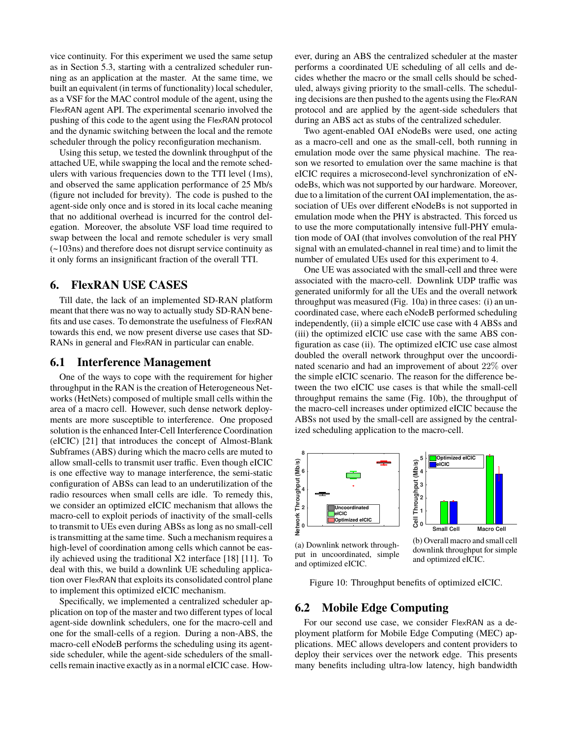vice continuity. For this experiment we used the same setup as in Section 5.3, starting with a centralized scheduler running as an application at the master. At the same time, we built an equivalent (in terms of functionality) local scheduler, as a VSF for the MAC control module of the agent, using the FlexRAN agent API. The experimental scenario involved the pushing of this code to the agent using the FlexRAN protocol and the dynamic switching between the local and the remote scheduler through the policy reconfiguration mechanism.

Using this setup, we tested the downlink throughput of the attached UE, while swapping the local and the remote schedulers with various frequencies down to the TTI level (1ms), and observed the same application performance of 25 Mb/s (figure not included for brevity). The code is pushed to the agent-side only once and is stored in its local cache meaning that no additional overhead is incurred for the control delegation. Moreover, the absolute VSF load time required to swap between the local and remote scheduler is very small (~103ns) and therefore does not disrupt service continuity as it only forms an insignificant fraction of the overall TTI.

## 6. FlexRAN USE CASES

Till date, the lack of an implemented SD-RAN platform meant that there was no way to actually study SD-RAN benefits and use cases. To demonstrate the usefulness of FlexRAN towards this end, we now present diverse use cases that SD-RANs in general and FlexRAN in particular can enable.

#### 6.1 Interference Management

One of the ways to cope with the requirement for higher throughput in the RAN is the creation of Heterogeneous Networks (HetNets) composed of multiple small cells within the area of a macro cell. However, such dense network deployments are more susceptible to interference. One proposed solution is the enhanced Inter-Cell Interference Coordination (eICIC) [21] that introduces the concept of Almost-Blank Subframes (ABS) during which the macro cells are muted to allow small-cells to transmit user traffic. Even though eICIC is one effective way to manage interference, the semi-static configuration of ABSs can lead to an underutilization of the radio resources when small cells are idle. To remedy this, we consider an optimized eICIC mechanism that allows the macro-cell to exploit periods of inactivity of the small-cells to transmit to UEs even during ABSs as long as no small-cell is transmitting at the same time. Such a mechanism requires a high-level of coordination among cells which cannot be easily achieved using the traditional X2 interface [18] [11]. To deal with this, we build a downlink UE scheduling application over FlexRAN that exploits its consolidated control plane to implement this optimized eICIC mechanism.

Specifically, we implemented a centralized scheduler application on top of the master and two different types of local agent-side downlink schedulers, one for the macro-cell and one for the small-cells of a region. During a non-ABS, the macro-cell eNodeB performs the scheduling using its agentside scheduler, while the agent-side schedulers of the smallcells remain inactive exactly as in a normal eICIC case. However, during an ABS the centralized scheduler at the master performs a coordinated UE scheduling of all cells and decides whether the macro or the small cells should be scheduled, always giving priority to the small-cells. The scheduling decisions are then pushed to the agents using the FlexRAN protocol and are applied by the agent-side schedulers that during an ABS act as stubs of the centralized scheduler.

Two agent-enabled OAI eNodeBs were used, one acting as a macro-cell and one as the small-cell, both running in emulation mode over the same physical machine. The reason we resorted to emulation over the same machine is that eICIC requires a microsecond-level synchronization of eNodeBs, which was not supported by our hardware. Moreover, due to a limitation of the current OAI implementation, the association of UEs over different eNodeBs is not supported in emulation mode when the PHY is abstracted. This forced us to use the more computationally intensive full-PHY emulation mode of OAI (that involves convolution of the real PHY signal with an emulated-channel in real time) and to limit the number of emulated UEs used for this experiment to 4.

One UE was associated with the small-cell and three were associated with the macro-cell. Downlink UDP traffic was generated uniformly for all the UEs and the overall network throughput was measured (Fig. 10a) in three cases: (i) an uncoordinated case, where each eNodeB performed scheduling independently, (ii) a simple eICIC use case with 4 ABSs and (iii) the optimized eICIC use case with the same ABS configuration as case (ii). The optimized eICIC use case almost doubled the overall network throughput over the uncoordinated scenario and had an improvement of about 22% over the simple eICIC scenario. The reason for the difference between the two eICIC use cases is that while the small-cell throughput remains the same (Fig. 10b), the throughput of the macro-cell increases under optimized eICIC because the ABSs not used by the small-cell are assigned by the centralized scheduling application to the macro-cell.



(a) Downlink network throughput in uncoordinated, simple and optimized eICIC.

(b) Overall macro and small cell downlink throughput for simple and optimized eICIC.

Figure 10: Throughput benefits of optimized eICIC.

#### 6.2 Mobile Edge Computing

For our second use case, we consider FlexRAN as a deployment platform for Mobile Edge Computing (MEC) applications. MEC allows developers and content providers to deploy their services over the network edge. This presents many benefits including ultra-low latency, high bandwidth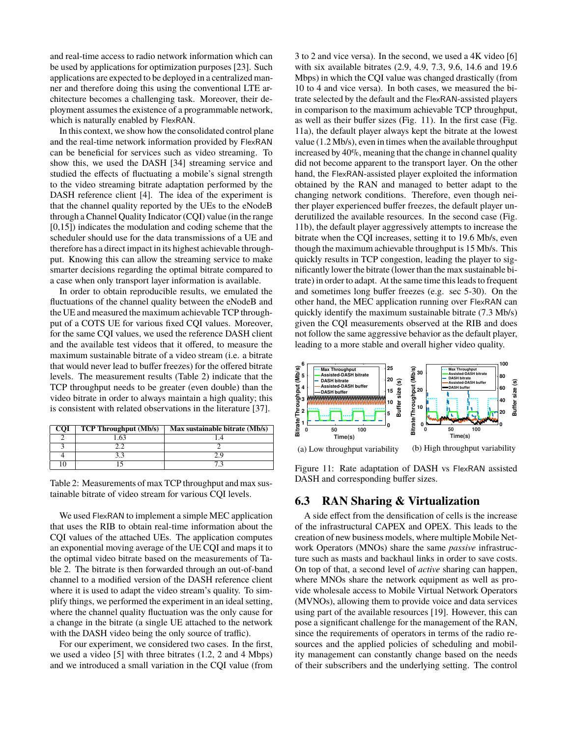and real-time access to radio network information which can be used by applications for optimization purposes [23]. Such applications are expected to be deployed in a centralized manner and therefore doing this using the conventional LTE architecture becomes a challenging task. Moreover, their deployment assumes the existence of a programmable network, which is naturally enabled by FlexRAN.

In this context, we show how the consolidated control plane and the real-time network information provided by FlexRAN can be beneficial for services such as video streaming. To show this, we used the DASH [34] streaming service and studied the effects of fluctuating a mobile's signal strength to the video streaming bitrate adaptation performed by the DASH reference client [4]. The idea of the experiment is that the channel quality reported by the UEs to the eNodeB through a Channel Quality Indicator (CQI) value (in the range [0,15]) indicates the modulation and coding scheme that the scheduler should use for the data transmissions of a UE and therefore has a direct impact in its highest achievable throughput. Knowing this can allow the streaming service to make smarter decisions regarding the optimal bitrate compared to a case when only transport layer information is available.

In order to obtain reproducible results, we emulated the fluctuations of the channel quality between the eNodeB and the UE and measured the maximum achievable TCP throughput of a COTS UE for various fixed CQI values. Moreover, for the same CQI values, we used the reference DASH client and the available test videos that it offered, to measure the maximum sustainable bitrate of a video stream (i.e. a bitrate that would never lead to buffer freezes) for the offered bitrate levels. The measurement results (Table 2) indicate that the TCP throughput needs to be greater (even double) than the video bitrate in order to always maintain a high quality; this is consistent with related observations in the literature [37].

| COI | <b>TCP Throughput (Mb/s)</b> | Max sustainable bitrate (Mb/s) |
|-----|------------------------------|--------------------------------|
|     |                              |                                |
|     |                              |                                |
|     |                              | 7 Q                            |
|     |                              |                                |

Table 2: Measurements of max TCP throughput and max sustainable bitrate of video stream for various CQI levels.

We used FlexRAN to implement a simple MEC application that uses the RIB to obtain real-time information about the CQI values of the attached UEs. The application computes an exponential moving average of the UE CQI and maps it to the optimal video bitrate based on the measurements of Table 2. The bitrate is then forwarded through an out-of-band channel to a modified version of the DASH reference client where it is used to adapt the video stream's quality. To simplify things, we performed the experiment in an ideal setting, where the channel quality fluctuation was the only cause for a change in the bitrate (a single UE attached to the network with the DASH video being the only source of traffic).

For our experiment, we considered two cases. In the first, we used a video [5] with three bitrates (1.2, 2 and 4 Mbps) and we introduced a small variation in the CQI value (from

3 to 2 and vice versa). In the second, we used a 4K video [6] with six available bitrates (2.9, 4.9, 7.3, 9.6, 14.6 and 19.6 Mbps) in which the CQI value was changed drastically (from 10 to 4 and vice versa). In both cases, we measured the bitrate selected by the default and the FlexRAN-assisted players in comparison to the maximum achievable TCP throughput, as well as their buffer sizes (Fig. 11). In the first case (Fig. 11a), the default player always kept the bitrate at the lowest value (1.2 Mb/s), even in times when the available throughput increased by 40%, meaning that the change in channel quality did not become apparent to the transport layer. On the other hand, the FlexRAN-assisted player exploited the information obtained by the RAN and managed to better adapt to the changing network conditions. Therefore, even though neither player experienced buffer freezes, the default player underutilized the available resources. In the second case (Fig. 11b), the default player aggressively attempts to increase the bitrate when the CQI increases, setting it to 19.6 Mb/s, even though the maximum achievable throughput is 15 Mb/s. This quickly results in TCP congestion, leading the player to significantly lower the bitrate (lower than the max sustainable bitrate) in order to adapt. At the same time this leads to frequent and sometimes long buffer freezes (e.g. sec 5-30). On the other hand, the MEC application running over FlexRAN can quickly identify the maximum sustainable bitrate (7.3 Mb/s) given the CQI measurements observed at the RIB and does not follow the same aggressive behavior as the default player, leading to a more stable and overall higher video quality.



Figure 11: Rate adaptation of DASH vs FlexRAN assisted DASH and corresponding buffer sizes.

## 6.3 RAN Sharing & Virtualization

A side effect from the densification of cells is the increase of the infrastructural CAPEX and OPEX. This leads to the creation of new business models, where multiple Mobile Network Operators (MNOs) share the same *passive* infrastructure such as masts and backhaul links in order to save costs. On top of that, a second level of *active* sharing can happen, where MNOs share the network equipment as well as provide wholesale access to Mobile Virtual Network Operators (MVNOs), allowing them to provide voice and data services using part of the available resources [19]. However, this can pose a significant challenge for the management of the RAN, since the requirements of operators in terms of the radio resources and the applied policies of scheduling and mobility management can constantly change based on the needs of their subscribers and the underlying setting. The control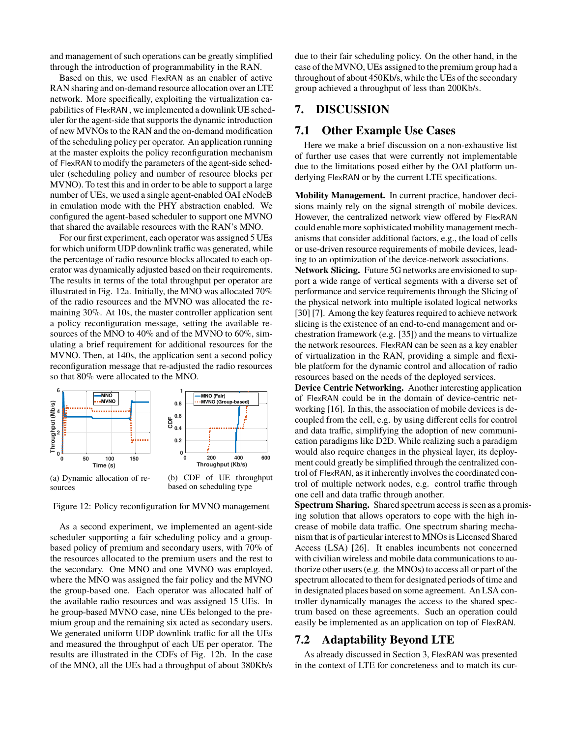and management of such operations can be greatly simplified through the introduction of programmability in the RAN.

Based on this, we used FlexRAN as an enabler of active RAN sharing and on-demand resource allocation over an LTE network. More specifically, exploiting the virtualization capabilities of FlexRAN , we implemented a downlink UE scheduler for the agent-side that supports the dynamic introduction of new MVNOs to the RAN and the on-demand modification of the scheduling policy per operator. An application running at the master exploits the policy reconfiguration mechanism of FlexRAN to modify the parameters of the agent-side scheduler (scheduling policy and number of resource blocks per MVNO). To test this and in order to be able to support a large number of UEs, we used a single agent-enabled OAI eNodeB in emulation mode with the PHY abstraction enabled. We configured the agent-based scheduler to support one MVNO that shared the available resources with the RAN's MNO.

For our first experiment, each operator was assigned 5 UEs for which uniform UDP downlink traffic was generated, while the percentage of radio resource blocks allocated to each operator was dynamically adjusted based on their requirements. The results in terms of the total throughput per operator are illustrated in Fig. 12a. Initially, the MNO was allocated 70% of the radio resources and the MVNO was allocated the remaining 30%. At 10s, the master controller application sent a policy reconfiguration message, setting the available resources of the MNO to 40% and of the MVNO to 60%, simulating a brief requirement for additional resources for the MVNO. Then, at 140s, the application sent a second policy reconfiguration message that re-adjusted the radio resources so that 80% were allocated to the MNO.



Figure 12: Policy reconfiguration for MVNO management

As a second experiment, we implemented an agent-side scheduler supporting a fair scheduling policy and a groupbased policy of premium and secondary users, with 70% of the resources allocated to the premium users and the rest to the secondary. One MNO and one MVNO was employed, where the MNO was assigned the fair policy and the MVNO the group-based one. Each operator was allocated half of the available radio resources and was assigned 15 UEs. In he group-based MVNO case, nine UEs belonged to the premium group and the remaining six acted as secondary users. We generated uniform UDP downlink traffic for all the UEs and measured the throughput of each UE per operator. The results are illustrated in the CDFs of Fig. 12b. In the case of the MNO, all the UEs had a throughput of about 380Kb/s due to their fair scheduling policy. On the other hand, in the case of the MVNO, UEs assigned to the premium group had a throughout of about 450Kb/s, while the UEs of the secondary group achieved a throughput of less than 200Kb/s.

## 7. DISCUSSION

## 7.1 Other Example Use Cases

Here we make a brief discussion on a non-exhaustive list of further use cases that were currently not implementable due to the limitations posed either by the OAI platform underlying FlexRAN or by the current LTE specifications.

**Mobility Management.** In current practice, handover decisions mainly rely on the signal strength of mobile devices. However, the centralized network view offered by FlexRAN could enable more sophisticated mobility management mechanisms that consider additional factors, e.g., the load of cells or use-driven resource requirements of mobile devices, leading to an optimization of the device-network associations.

**Network Slicing.** Future 5G networks are envisioned to support a wide range of vertical segments with a diverse set of performance and service requirements through the Slicing of the physical network into multiple isolated logical networks [30] [7]. Among the key features required to achieve network slicing is the existence of an end-to-end management and orchestration framework (e.g. [35]) and the means to virtualize the network resources. FlexRAN can be seen as a key enabler of virtualization in the RAN, providing a simple and flexible platform for the dynamic control and allocation of radio resources based on the needs of the deployed services.

**Device Centric Networking.** Another interesting application of FlexRAN could be in the domain of device-centric networking [16]. In this, the association of mobile devices is decoupled from the cell, e.g. by using different cells for control and data traffic, simplifying the adoption of new communication paradigms like D2D. While realizing such a paradigm would also require changes in the physical layer, its deployment could greatly be simplified through the centralized control of FlexRAN, as it inherently involves the coordinated control of multiple network nodes, e.g. control traffic through one cell and data traffic through another.

**Spectrum Sharing.** Shared spectrum access is seen as a promising solution that allows operators to cope with the high increase of mobile data traffic. One spectrum sharing mechanism that is of particular interest to MNOs is Licensed Shared Access (LSA) [26]. It enables incumbents not concerned with civilian wireless and mobile data communications to authorize other users (e.g. the MNOs) to access all or part of the spectrum allocated to them for designated periods of time and in designated places based on some agreement. An LSA controller dynamically manages the access to the shared spectrum based on these agreements. Such an operation could easily be implemented as an application on top of FlexRAN.

## 7.2 Adaptability Beyond LTE

As already discussed in Section 3, FlexRAN was presented in the context of LTE for concreteness and to match its cur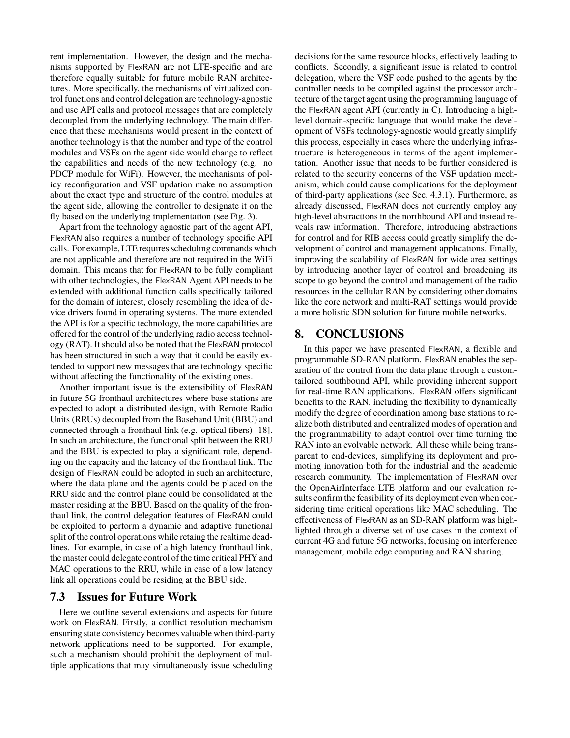rent implementation. However, the design and the mechanisms supported by FlexRAN are not LTE-specific and are therefore equally suitable for future mobile RAN architectures. More specifically, the mechanisms of virtualized control functions and control delegation are technology-agnostic and use API calls and protocol messages that are completely decoupled from the underlying technology. The main difference that these mechanisms would present in the context of another technology is that the number and type of the control modules and VSFs on the agent side would change to reflect the capabilities and needs of the new technology (e.g. no PDCP module for WiFi). However, the mechanisms of policy reconfiguration and VSF updation make no assumption about the exact type and structure of the control modules at the agent side, allowing the controller to designate it on the fly based on the underlying implementation (see Fig. 3).

Apart from the technology agnostic part of the agent API, FlexRAN also requires a number of technology specific API calls. For example, LTE requires scheduling commands which are not applicable and therefore are not required in the WiFi domain. This means that for FlexRAN to be fully compliant with other technologies, the FlexRAN Agent API needs to be extended with additional function calls specifically tailored for the domain of interest, closely resembling the idea of device drivers found in operating systems. The more extended the API is for a specific technology, the more capabilities are offered for the control of the underlying radio access technology (RAT). It should also be noted that the FlexRAN protocol has been structured in such a way that it could be easily extended to support new messages that are technology specific without affecting the functionality of the existing ones.

Another important issue is the extensibility of FlexRAN in future 5G fronthaul architectures where base stations are expected to adopt a distributed design, with Remote Radio Units (RRUs) decoupled from the Baseband Unit (BBU) and connected through a fronthaul link (e.g. optical fibers) [18]. In such an architecture, the functional split between the RRU and the BBU is expected to play a significant role, depending on the capacity and the latency of the fronthaul link. The design of FlexRAN could be adopted in such an architecture, where the data plane and the agents could be placed on the RRU side and the control plane could be consolidated at the master residing at the BBU. Based on the quality of the fronthaul link, the control delegation features of FlexRAN could be exploited to perform a dynamic and adaptive functional split of the control operations while retaing the realtime deadlines. For example, in case of a high latency fronthaul link, the master could delegate control of the time critical PHY and MAC operations to the RRU, while in case of a low latency link all operations could be residing at the BBU side.

## 7.3 Issues for Future Work

Here we outline several extensions and aspects for future work on FlexRAN. Firstly, a conflict resolution mechanism ensuring state consistency becomes valuable when third-party network applications need to be supported. For example, such a mechanism should prohibit the deployment of multiple applications that may simultaneously issue scheduling

decisions for the same resource blocks, effectively leading to conflicts. Secondly, a significant issue is related to control delegation, where the VSF code pushed to the agents by the controller needs to be compiled against the processor architecture of the target agent using the programming language of the FlexRAN agent API (currently in C). Introducing a highlevel domain-specific language that would make the development of VSFs technology-agnostic would greatly simplify this process, especially in cases where the underlying infrastructure is heterogeneous in terms of the agent implementation. Another issue that needs to be further considered is related to the security concerns of the VSF updation mechanism, which could cause complications for the deployment of third-party applications (see Sec. 4.3.1). Furthermore, as already discussed, FlexRAN does not currently employ any high-level abstractions in the northbound API and instead reveals raw information. Therefore, introducing abstractions for control and for RIB access could greatly simplify the development of control and management applications. Finally, improving the scalability of FlexRAN for wide area settings by introducing another layer of control and broadening its scope to go beyond the control and management of the radio resources in the cellular RAN by considering other domains like the core network and multi-RAT settings would provide a more holistic SDN solution for future mobile networks.

# 8. CONCLUSIONS

In this paper we have presented FlexRAN, a flexible and programmable SD-RAN platform. FlexRAN enables the separation of the control from the data plane through a customtailored southbound API, while providing inherent support for real-time RAN applications. FlexRAN offers significant benefits to the RAN, including the flexibility to dynamically modify the degree of coordination among base stations to realize both distributed and centralized modes of operation and the programmability to adapt control over time turning the RAN into an evolvable network. All these while being transparent to end-devices, simplifying its deployment and promoting innovation both for the industrial and the academic research community. The implementation of FlexRAN over the OpenAirInterface LTE platform and our evaluation results confirm the feasibility of its deployment even when considering time critical operations like MAC scheduling. The effectiveness of FlexRAN as an SD-RAN platform was highlighted through a diverse set of use cases in the context of current 4G and future 5G networks, focusing on interference management, mobile edge computing and RAN sharing.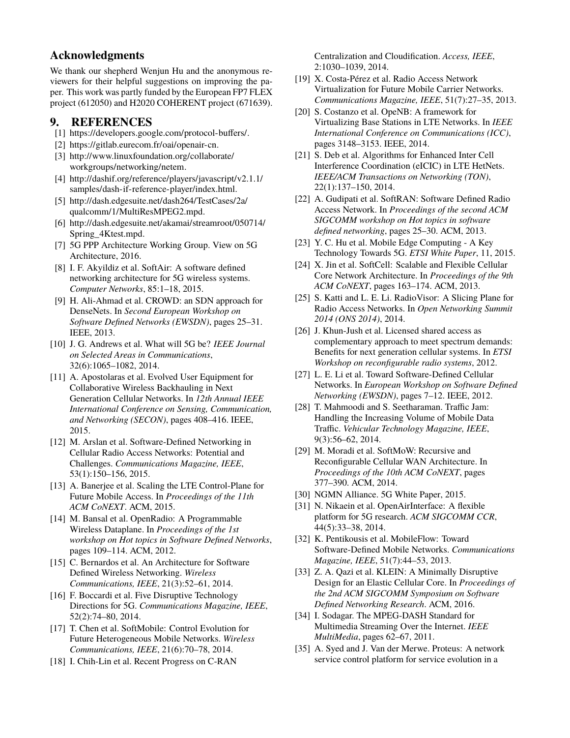## Acknowledgments

We thank our shepherd Wenjun Hu and the anonymous reviewers for their helpful suggestions on improving the paper. This work was partly funded by the European FP7 FLEX project (612050) and H2020 COHERENT project (671639).

# 9. REFERENCES

- [1] https://developers.google.com/protocol-buffers/.
- [2] https://gitlab.eurecom.fr/oai/openair-cn.
- [3] http://www.linuxfoundation.org/collaborate/ workgroups/networking/netem.
- [4] http://dashif.org/reference/players/javascript/v2.1.1/ samples/dash-if-reference-player/index.html.
- [5] http://dash.edgesuite.net/dash264/TestCases/2a/ qualcomm/1/MultiResMPEG2.mpd.
- [6] http://dash.edgesuite.net/akamai/streamroot/050714/ Spring\_4Ktest.mpd.
- [7] 5G PPP Architecture Working Group. View on 5G Architecture, 2016.
- [8] I. F. Akyildiz et al. SoftAir: A software defined networking architecture for 5G wireless systems. *Computer Networks*, 85:1–18, 2015.
- [9] H. Ali-Ahmad et al. CROWD: an SDN approach for DenseNets. In *Second European Workshop on Software Defined Networks (EWSDN)*, pages 25–31. IEEE, 2013.
- [10] J. G. Andrews et al. What will 5G be? *IEEE Journal on Selected Areas in Communications*, 32(6):1065–1082, 2014.
- [11] A. Apostolaras et al. Evolved User Equipment for Collaborative Wireless Backhauling in Next Generation Cellular Networks. In *12th Annual IEEE International Conference on Sensing, Communication, and Networking (SECON)*, pages 408–416. IEEE, 2015.
- [12] M. Arslan et al. Software-Defined Networking in Cellular Radio Access Networks: Potential and Challenges. *Communications Magazine, IEEE*, 53(1):150–156, 2015.
- [13] A. Banerjee et al. Scaling the LTE Control-Plane for Future Mobile Access. In *Proceedings of the 11th ACM CoNEXT*. ACM, 2015.
- [14] M. Bansal et al. OpenRadio: A Programmable Wireless Dataplane. In *Proceedings of the 1st workshop on Hot topics in Software Defined Networks*, pages 109–114. ACM, 2012.
- [15] C. Bernardos et al. An Architecture for Software Defined Wireless Networking. *Wireless Communications, IEEE*, 21(3):52–61, 2014.
- [16] F. Boccardi et al. Five Disruptive Technology Directions for 5G. *Communications Magazine, IEEE*, 52(2):74–80, 2014.
- [17] T. Chen et al. SoftMobile: Control Evolution for Future Heterogeneous Mobile Networks. *Wireless Communications, IEEE*, 21(6):70–78, 2014.
- [18] I. Chih-Lin et al. Recent Progress on C-RAN

Centralization and Cloudification. *Access, IEEE*, 2:1030–1039, 2014.

- [19] X. Costa-Pérez et al. Radio Access Network Virtualization for Future Mobile Carrier Networks. *Communications Magazine, IEEE*, 51(7):27–35, 2013.
- [20] S. Costanzo et al. OpeNB: A framework for Virtualizing Base Stations in LTE Networks. In *IEEE International Conference on Communications (ICC)*, pages 3148–3153. IEEE, 2014.
- [21] S. Deb et al. Algorithms for Enhanced Inter Cell Interference Coordination (eICIC) in LTE HetNets. *IEEE/ACM Transactions on Networking (TON)*, 22(1):137–150, 2014.
- [22] A. Gudipati et al. SoftRAN: Software Defined Radio Access Network. In *Proceedings of the second ACM SIGCOMM workshop on Hot topics in software defined networking*, pages 25–30. ACM, 2013.
- [23] Y. C. Hu et al. Mobile Edge Computing A Key Technology Towards 5G. *ETSI White Paper*, 11, 2015.
- [24] X. Jin et al. SoftCell: Scalable and Flexible Cellular Core Network Architecture. In *Proceedings of the 9th ACM CoNEXT*, pages 163–174. ACM, 2013.
- [25] S. Katti and L. E. Li. RadioVisor: A Slicing Plane for Radio Access Networks. In *Open Networking Summit 2014 (ONS 2014)*, 2014.
- [26] J. Khun-Jush et al. Licensed shared access as complementary approach to meet spectrum demands: Benefits for next generation cellular systems. In *ETSI Workshop on reconfigurable radio systems*, 2012.
- [27] L. E. Li et al. Toward Software-Defined Cellular Networks. In *European Workshop on Software Defined Networking (EWSDN)*, pages 7–12. IEEE, 2012.
- [28] T. Mahmoodi and S. Seetharaman. Traffic Jam: Handling the Increasing Volume of Mobile Data Traffic. *Vehicular Technology Magazine, IEEE*, 9(3):56–62, 2014.
- [29] M. Moradi et al. SoftMoW: Recursive and Reconfigurable Cellular WAN Architecture. In *Proceedings of the 10th ACM CoNEXT*, pages 377–390. ACM, 2014.
- [30] NGMN Alliance. 5G White Paper, 2015.
- [31] N. Nikaein et al. OpenAirInterface: A flexible platform for 5G research. *ACM SIGCOMM CCR*, 44(5):33–38, 2014.
- [32] K. Pentikousis et al. MobileFlow: Toward Software-Defined Mobile Networks. *Communications Magazine, IEEE*, 51(7):44–53, 2013.
- [33] Z. A. Qazi et al. KLEIN: A Minimally Disruptive Design for an Elastic Cellular Core. In *Proceedings of the 2nd ACM SIGCOMM Symposium on Software Defined Networking Research*. ACM, 2016.
- [34] I. Sodagar. The MPEG-DASH Standard for Multimedia Streaming Over the Internet. *IEEE MultiMedia*, pages 62–67, 2011.
- [35] A. Syed and J. Van der Merwe. Proteus: A network service control platform for service evolution in a